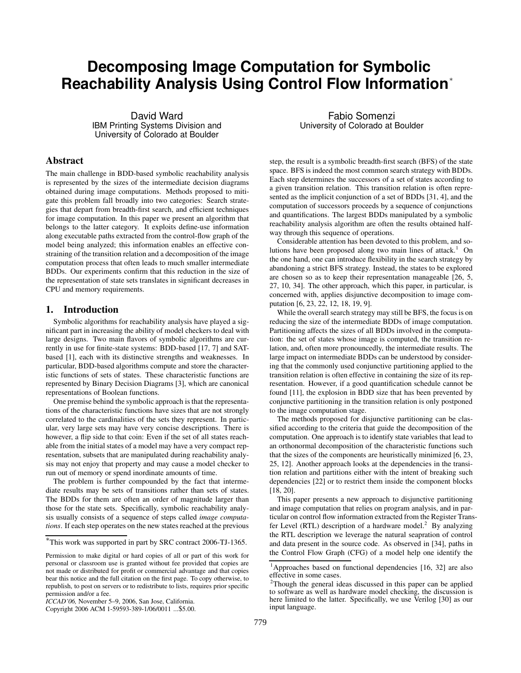# **Decomposing Image Computation for Symbolic Reachability Analysis Using Control Flow Information**<sup>∗</sup>

David Ward IBM Printing Systems Division and University of Colorado at Boulder

# **Abstract**

The main challenge in BDD-based symbolic reachability analysis is represented by the sizes of the intermediate decision diagrams obtained during image computations. Methods proposed to mitigate this problem fall broadly into two categories: Search strategies that depart from breadth-first search, and efficient techniques for image computation. In this paper we present an algorithm that belongs to the latter category. It exploits define-use information along executable paths extracted from the control-flow graph of the model being analyzed; this information enables an effective constraining of the transition relation and a decomposition of the image computation process that often leads to much smaller intermediate BDDs. Our experiments confirm that this reduction in the size of the representation of state sets translates in significant decreases in CPU and memory requirements.

# **1. Introduction**

Symbolic algorithms for reachability analysis have played a significant part in increasing the ability of model checkers to deal with large designs. Two main flavors of symbolic algorithms are currently in use for finite-state systems: BDD-based [17, 7] and SATbased [1], each with its distinctive strengths and weaknesses. In particular, BDD-based algorithms compute and store the characteristic functions of sets of states. These characteristic functions are represented by Binary Decision Diagrams [3], which are canonical representations of Boolean functions.

One premise behind the symbolic approach is that the representations of the characteristic functions have sizes that are not strongly correlated to the cardinalities of the sets they represent. In particular, very large sets may have very concise descriptions. There is however, a flip side to that coin: Even if the set of all states reachable from the initial states of a model may have a very compact representation, subsets that are manipulated during reachability analysis may not enjoy that property and may cause a model checker to run out of memory or spend inordinate amounts of time.

The problem is further compounded by the fact that intermediate results may be sets of transitions rather than sets of states. The BDDs for them are often an order of magnitude larger than those for the state sets. Specifically, symbolic reachability analysis usually consists of a sequence of steps called *image computations*. If each step operates on the new states reached at the previous

Fabio Somenzi University of Colorado at Boulder

step, the result is a symbolic breadth-first search (BFS) of the state space. BFS is indeed the most common search strategy with BDDs. Each step determines the successors of a set of states according to a given transition relation. This transition relation is often represented as the implicit conjunction of a set of BDDs [31, 4], and the computation of successors proceeds by a sequence of conjunctions and quantifications. The largest BDDs manipulated by a symbolic reachability analysis algorithm are often the results obtained halfway through this sequence of operations.

Considerable attention has been devoted to this problem, and solutions have been proposed along two main lines of attack.<sup>1</sup> On the one hand, one can introduce flexibility in the search strategy by abandoning a strict BFS strategy. Instead, the states to be explored are chosen so as to keep their representation manageable [26, 5, 27, 10, 34]. The other approach, which this paper, in particular, is concerned with, applies disjunctive decomposition to image computation [6, 23, 22, 12, 18, 19, 9].

While the overall search strategy may still be BFS, the focus is on reducing the size of the intermediate BDDs of image computation. Partitioning affects the sizes of all BDDs involved in the computation: the set of states whose image is computed, the transition relation, and, often more pronouncedly, the intermediate results. The large impact on intermediate BDDs can be understood by considering that the commonly used conjunctive partitioning applied to the transition relation is often effective in containing the size of its representation. However, if a good quantification schedule cannot be found [11], the explosion in BDD size that has been prevented by conjunctive partitioning in the transition relation is only postponed to the image computation stage.

The methods proposed for disjunctive partitioning can be classified according to the criteria that guide the decomposition of the computation. One approach is to identify state variables that lead to an orthonormal decomposition of the characteristic functions such that the sizes of the components are heuristically minimized [6, 23, 25, 12]. Another approach looks at the dependencies in the transition relation and partitions either with the intent of breaking such dependencies [22] or to restrict them inside the component blocks [18, 20].

This paper presents a new approach to disjunctive partitioning and image computation that relies on program analysis, and in particular on control flow information extracted from the Register Transfer Level (RTL) description of a hardware model. $^{2}$  By analyzing the RTL description we leverage the natural seapration of control and data present in the source code. As observed in [34], paths in the Control Flow Graph (CFG) of a model help one identify the

<sup>∗</sup>This work was supported in part by SRC contract 2006-TJ-1365.

Permission to make digital or hard copies of all or part of this work for personal or classroom use is granted without fee provided that copies are not made or distributed for profit or commercial advantage and that copies bear this notice and the full citation on the first page. To copy otherwise, to republish, to post on servers or to redistribute to lists, requires prior specific permission and/or a fee.

*ICCAD'06,* November 5–9, 2006, San Jose, California.

Copyright 2006 ACM 1-59593-389-1/06/0011 ...\$5.00.

 $1$ Approaches based on functional dependencies [16, 32] are also effective in some cases.

<sup>&</sup>lt;sup>2</sup>Though the general ideas discussed in this paper can be applied to software as well as hardware model checking, the discussion is here limited to the latter. Specifically, we use Verilog [30] as our input language.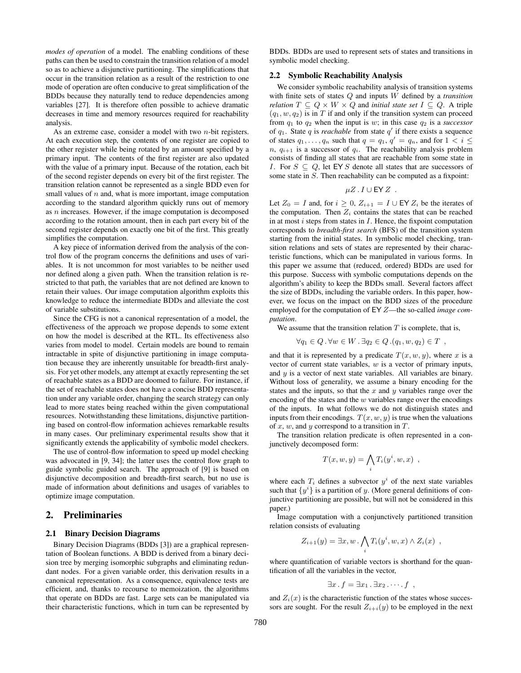*modes of operation* of a model. The enabling conditions of these paths can then be used to constrain the transition relation of a model so as to achieve a disjunctive partitioning. The simplifications that occur in the transition relation as a result of the restriction to one mode of operation are often conducive to great simplification of the BDDs because they naturally tend to reduce dependencies among variables [27]. It is therefore often possible to achieve dramatic decreases in time and memory resources required for reachability analysis.

As an extreme case, consider a model with two  $n$ -bit registers. At each execution step, the contents of one register are copied to the other register while being rotated by an amount specified by a primary input. The contents of the first register are also updated with the value of a primary input. Because of the rotation, each bit of the second register depends on every bit of the first register. The transition relation cannot be represented as a single BDD even for small values of  $n$  and, what is more important, image computation according to the standard algorithm quickly runs out of memory as  $n$  increases. However, if the image computation is decomposed according to the rotation amount, then in each part every bit of the second register depends on exactly one bit of the first. This greatly simplifies the computation.

A key piece of information derived from the analysis of the control flow of the program concerns the definitions and uses of variables. It is not uncommon for most variables to be neither used nor defined along a given path. When the transition relation is restricted to that path, the variables that are not defined are known to retain their values. Our image computation algorithm exploits this knowledge to reduce the intermediate BDDs and alleviate the cost of variable substitutions.

Since the CFG is not a canonical representation of a model, the effectiveness of the approach we propose depends to some extent on how the model is described at the RTL. Its effectiveness also varies from model to model. Certain models are bound to remain intractable in spite of disjunctive partitioning in image computation because they are inherently unsuitable for breadth-first analysis. For yet other models, any attempt at exactly representing the set of reachable states as a BDD are doomed to failure. For instance, if the set of reachable states does not have a concise BDD representation under any variable order, changing the search strategy can only lead to more states being reached within the given computational resources. Notwithstanding these limitations, disjunctive partitioning based on control-flow information achieves remarkable results in many cases. Our preliminary experimental results show that it significantly extends the applicability of symbolic model checkers.

The use of control-flow information to speed up model checking was advocated in [9, 34]; the latter uses the control flow graph to guide symbolic guided search. The approach of [9] is based on disjunctive decomposition and breadth-first search, but no use is made of information about definitions and usages of variables to optimize image computation.

## **2. Preliminaries**

## **2.1 Binary Decision Diagrams**

Binary Decision Diagrams (BDDs [3]) are a graphical representation of Boolean functions. A BDD is derived from a binary decision tree by merging isomorphic subgraphs and eliminating redundant nodes. For a given variable order, this derivation results in a canonical representation. As a consequence, equivalence tests are efficient, and, thanks to recourse to memoization, the algorithms that operate on BDDs are fast. Large sets can be manipulated via their characteristic functions, which in turn can be represented by

BDDs. BDDs are used to represent sets of states and transitions in symbolic model checking.

## **2.2 Symbolic Reachability Analysis**

We consider symbolic reachability analysis of transition systems with finite sets of states Q and inputs W defined by a *transition relation*  $T \subseteq Q \times W \times Q$  and *initial state set*  $I \subseteq Q$ . A triple  $(q_1, w, q_2)$  is in T if and only if the transition system can proceed from  $q_1$  to  $q_2$  when the input is w; in this case  $q_2$  is a *successor* of  $q_1$ . State  $q$  is *reachable* from state  $q'$  if there exists a sequence of states  $q_1, \ldots, q_n$  such that  $q = q_1, q' = q_n$ , and for  $1 \lt i \leq$  $n, q_{i+1}$  is a successor of  $q_i$ . The reachability analysis problem consists of finding all states that are reachable from some state in I. For  $S \subseteq Q$ , let EY S denote all states that are successors of some state in S. Then reachability can be computed as a fixpoint:

$$
\mu Z \,.\, I \cup \mathsf{EY} \,Z \ .
$$

Let  $Z_0 = I$  and, for  $i \geq 0$ ,  $Z_{i+1} = I \cup EY Z_i$  be the iterates of the computation. Then  $Z_i$  contains the states that can be reached in at most  $i$  steps from states in  $I$ . Hence, the fixpoint computation corresponds to *breadth-first search* (BFS) of the transition system starting from the initial states. In symbolic model checking, transition relations and sets of states are represented by their characteristic functions, which can be manipulated in various forms. In this paper we assume that (reduced, ordered) BDDs are used for this purpose. Success with symbolic computations depends on the algorithm's ability to keep the BDDs small. Several factors affect the size of BDDs, including the variable orders. In this paper, however, we focus on the impact on the BDD sizes of the procedure employed for the computation of EY Z—the so-called *image computation*.

We assume that the transition relation  $T$  is complete, that is,

$$
\forall q_1 \in Q \,.\,\forall w \in W \,.\,\exists q_2 \in Q \,.\, (q_1, w, q_2) \in T \,;
$$

and that it is represented by a predicate  $T(x, w, y)$ , where x is a vector of current state variables,  $w$  is a vector of primary inputs, and  $y$  is a vector of next state variables. All variables are binary. Without loss of generality, we assume a binary encoding for the states and the inputs, so that the  $x$  and  $y$  variables range over the encoding of the states and the  $w$  variables range over the encodings of the inputs. In what follows we do not distinguish states and inputs from their encodings.  $T(x, w, y)$  is true when the valuations of  $x, w$ , and  $y$  correspond to a transition in  $T$ .

The transition relation predicate is often represented in a conjunctively decomposed form:

$$
T(x, w, y) = \bigwedge_i T_i(y^i, w, x) ,
$$

where each  $T_i$  defines a subvector  $y^i$  of the next state variables such that  $\{y^i\}$  is a partition of y. (More general definitions of conjunctive partitioning are possible, but will not be considered in this paper.)

Image computation with a conjunctively partitioned transition relation consists of evaluating

$$
Z_{i+1}(y) = \exists x, w \cdot \bigwedge_i T_i(y^i, w, x) \wedge Z_i(x) ,
$$

where quantification of variable vectors is shorthand for the quantification of all the variables in the vector,

$$
\exists x \, . \, f = \exists x_1 \, . \, \exists x_2 \, . \, \cdots \, . \, f \, ,
$$

and  $Z_i(x)$  is the characteristic function of the states whose successors are sought. For the result  $Z_{i+i}(y)$  to be employed in the next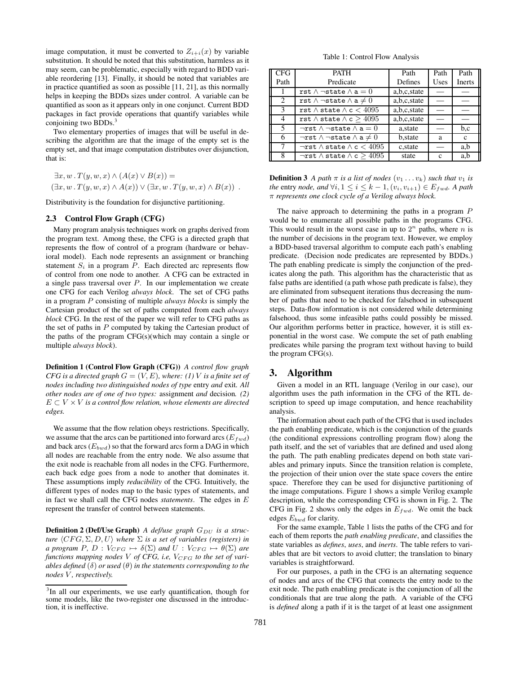image computation, it must be converted to  $Z_{i+i}(x)$  by variable substitution. It should be noted that this substitution, harmless as it may seem, can be problematic, especially with regard to BDD variable reordering [13]. Finally, it should be noted that variables are in practice quantified as soon as possible [11, 21], as this normally helps in keeping the BDDs sizes under control. A variable can be quantified as soon as it appears only in one conjunct. Current BDD packages in fact provide operations that quantify variables while conjoining two BDDs.<sup>3</sup>

Two elementary properties of images that will be useful in describing the algorithm are that the image of the empty set is the empty set, and that image computation distributes over disjunction, that is:

 $\exists x, w \, . \, T(y, w, x) \wedge (A(x) \vee B(x)) =$  $(\exists x, w \, . \, T(y, w, x) \land A(x)) \lor (\exists x, w \, . \, T(y, w, x) \land B(x))$ .

Distributivity is the foundation for disjunctive partitioning.

## **2.3 Control Flow Graph (CFG)**

Many program analysis techniques work on graphs derived from the program text. Among these, the CFG is a directed graph that represents the flow of control of a program (hardware or behavioral model). Each node represents an assignment or branching statement  $S_i$  in a program  $\overline{P}$ . Each directed arc represents flow of control from one node to another. A CFG can be extracted in a single pass traversal over  $P$ . In our implementation we create one CFG for each Verilog *always block*. The set of CFG paths in a program P consisting of multiple *always blocks* is simply the Cartesian product of the set of paths computed from each *always block* CFG. In the rest of the paper we will refer to CFG paths as the set of paths in  $P$  computed by taking the Cartesian product of the paths of the program CFG(s)(which may contain a single or multiple *always block*).

**Definition 1 (Control Flow Graph (CFG))** *A control flow graph CFG is a* directed graph  $G = (V, E)$ *, where:* (1) V *is a finite set of nodes including two distinguished nodes of type* entry *and* exit*. All other nodes are of one of two types:* assignment *and* decision*. (2)*  $E \subset V \times V$  *is a control flow relation, whose elements are directed edges.*

We assume that the flow relation obeys restrictions. Specifically, we assume that the arcs can be partitioned into forward arcs  $(E_{fwd})$ and back arcs ( $E_{bwd}$ ) so that the forward arcs form a DAG in which all nodes are reachable from the entry node. We also assume that the exit node is reachable from all nodes in the CFG. Furthermore, each back edge goes from a node to another that dominates it. These assumptions imply *reducibility* of the CFG. Intuitively, the different types of nodes map to the basic types of statements, and in fact we shall call the CFG nodes *statements*. The edges in E represent the transfer of control between statements.

**Definition 2 (Def/Use Graph)** A def/use graph  $G_{DU}$  is a struc*ture*  $\langle CFG, \Sigma, D, U \rangle$  *where*  $\Sigma$  *is a set of variables (registers) in a program*  $P$ *,*  $D: V_{CFG} \mapsto \delta(\Sigma)$  *and*  $U: V_{CFG} \mapsto \theta(\Sigma)$  *are functions mapping nodes*  $V$  *of*  $CFG$ , *i.e,*  $V_{CFG}$  *to the set of vari* $a$ *bles defined*  $(\delta)$  *or used*  $(\theta)$  *in the statements corresponding to the nodes* V *, respectively.*

Table 1: Control Flow Analysis

| CFG  | <b>PATH</b>                                                             | Path        | Path | Path         |
|------|-------------------------------------------------------------------------|-------------|------|--------------|
| Path | Predicate                                                               | Defines     | Uses | Inerts       |
| 1    | rst $\wedge \neg$ state $\wedge$ a = 0                                  | a,b,c,state |      |              |
| 2    | rst $\wedge \neg$ state $\wedge$ a $\neq 0$                             | a,b,c,state |      |              |
| 3    | rst $\land$ state $\land$ c $<$ 4095                                    | a,b,c,state |      |              |
| 4    | rst $\wedge$ state $\wedge$ c $\geq 4095$                               | a,b,c,state |      |              |
| 5    | $\neg \texttt{rst} \wedge \neg \texttt{state} \wedge \texttt{a} = 0$    | a, state    |      | b,c          |
| 6    | $\neg \texttt{rst} \wedge \neg \texttt{state} \wedge \texttt{a} \neq 0$ | b, state    | a    | $\mathbf{C}$ |
| 7    | $\neg \texttt{rst} \wedge \texttt{state} \wedge \texttt{c} < 4095$      | c,state     |      | a,b          |
| 8    | $\neg \texttt{rst} \wedge \texttt{state} \wedge \texttt{c} > 4095$      | state       | c    | a,b          |

**Definition** 3 *A path*  $\pi$  *is a list of nodes*  $(v_1 \dots v_k)$  *such that*  $v_1$  *is the* entry *node,* and  $\forall i, 1 \leq i \leq k - 1$ ,  $(v_i, v_{i+1}) \in E_{fwd}$ . A path π *represents one clock cycle of a Verilog always block.*

The naive approach to determining the paths in a program P would be to enumerate all possible paths in the programs CFG. This would result in the worst case in up to  $2^n$  paths, where n is the number of decisions in the program text. However, we employ a BDD-based traversal algorithm to compute each path's enabling predicate. (Decision node predicates are represented by BDDs.) The path enabling predicate is simply the conjunction of the predicates along the path. This algorithm has the characteristic that as false paths are identified (a path whose path predicate is false), they are eliminated from subsequent iterations thus decreasing the number of paths that need to be checked for falsehood in subsequent steps. Data-flow information is not considered while determining falsehood, thus some infeasible paths could possibly be missed. Our algorithm performs better in practice, however, it is still exponential in the worst case. We compute the set of path enabling predicates while parsing the program text without having to build the program CFG(s).

## **3. Algorithm**

Given a model in an RTL language (Verilog in our case), our algorithm uses the path information in the CFG of the RTL description to speed up image computation, and hence reachability analysis.

The information about each path of the CFG that is used includes the path enabling predicate, which is the conjunction of the guards (the conditional expressions controlling program flow) along the path itself, and the set of variables that are defined and used along the path. The path enabling predicates depend on both state variables and primary inputs. Since the transition relation is complete, the projection of their union over the state space covers the entire space. Therefore they can be used for disjunctive partitioning of the image computations. Figure 1 shows a simple Verilog example description, while the corresponding CFG is shown in Fig. 2. The CFG in Fig. 2 shows only the edges in  $E_{fwd}$ . We omit the back edges  $E_{bwd}$  for clarity.

For the same example, Table 1 lists the paths of the CFG and for each of them reports the *path enabling predicate*, and classifies the state variables as *defines*, *uses*, and *inerts*. The table refers to variables that are bit vectors to avoid clutter; the translation to binary variables is straightforward.

For our purposes, a path in the CFG is an alternating sequence of nodes and arcs of the CFG that connects the entry node to the exit node. The path enabling predicate is the conjunction of all the conditionals that are true along the path. A variable of the CFG is *defined* along a path if it is the target of at least one assignment

<sup>&</sup>lt;sup>3</sup>In all our experiments, we use early quantification, though for some models, like the two-register one discussed in the introduction, it is ineffective.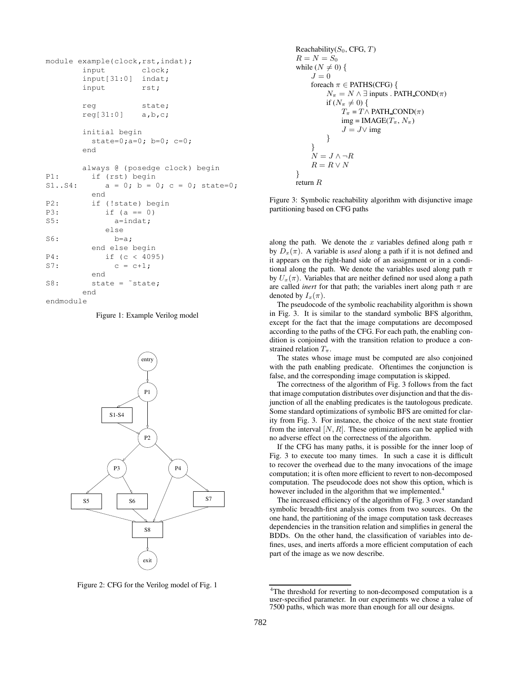```
module example(clock,rst,indat);
      input clock;
      input[31:0] indat;
      input rst;
      reg state;
      reg[31:0] a,b,c;
      initial begin
        state=0;a=0; b=0; c=0;
      end
      always @ (posedge clock) begin
P1: if (rst) begin
S1..S4: a = 0; b = 0; c = 0; state=0;end
P2: if (!state) begin
P3: if (a == 0)
S5: a=indat;
          else
S6: b=a;
        end else begin
P4: if (c < 4095)
S7: c = c+1;
        end
S8: state = "state;
      end
```

```
endmodule
```
Figure 1: Example Verilog model



Figure 2: CFG for the Verilog model of Fig. 1

```
Reachability(S_0, CFG, T)
R = N = S_0while (N \neq 0) {
     J=0foreach \pi \in PATHS(CFG) {
           N_{\pi} = N \wedge \exists inputs . PATH COND(\pi)
           if (N_\pi \neq 0) {
                T_{\pi} = T \wedge PATH_COND(\pi)
                img = IMAGE(T_\pi, N_\pi)
                 J = J \vee img
           }
      }
     N = J \wedge \neg RR = R \vee N}
return R
```
Figure 3: Symbolic reachability algorithm with disjunctive image partitioning based on CFG paths

along the path. We denote the x variables defined along path  $\pi$ by  $D_x(\pi)$ . A variable is *used* along a path if it is not defined and it appears on the right-hand side of an assignment or in a conditional along the path. We denote the variables used along path  $\pi$ by  $U_x(\pi)$ . Variables that are neither defined nor used along a path are called *inert* for that path; the variables inert along path  $\pi$  are denoted by  $I_x(\pi)$ .

The pseudocode of the symbolic reachability algorithm is shown in Fig. 3. It is similar to the standard symbolic BFS algorithm, except for the fact that the image computations are decomposed according to the paths of the CFG. For each path, the enabling condition is conjoined with the transition relation to produce a constrained relation  $T_{\pi}$ .

The states whose image must be computed are also conjoined with the path enabling predicate. Oftentimes the conjunction is false, and the corresponding image computation is skipped.

The correctness of the algorithm of Fig. 3 follows from the fact that image computation distributes over disjunction and that the disjunction of all the enabling predicates is the tautologous predicate. Some standard optimizations of symbolic BFS are omitted for clarity from Fig. 3. For instance, the choice of the next state frontier from the interval  $[N, R]$ . These optimizations can be applied with no adverse effect on the correctness of the algorithm.

If the CFG has many paths, it is possible for the inner loop of Fig. 3 to execute too many times. In such a case it is difficult to recover the overhead due to the many invocations of the image computation; it is often more efficient to revert to non-decomposed computation. The pseudocode does not show this option, which is however included in the algorithm that we implemented.<sup>4</sup>

The increased efficiency of the algorithm of Fig. 3 over standard symbolic breadth-first analysis comes from two sources. On the one hand, the partitioning of the image computation task decreases dependencies in the transition relation and simplifies in general the BDDs. On the other hand, the classification of variables into defines, uses, and inerts affords a more efficient computation of each part of the image as we now describe.

<sup>4</sup>The threshold for reverting to non-decomposed computation is a user-specified parameter. In our experiments we chose a value of 7500 paths, which was more than enough for all our designs.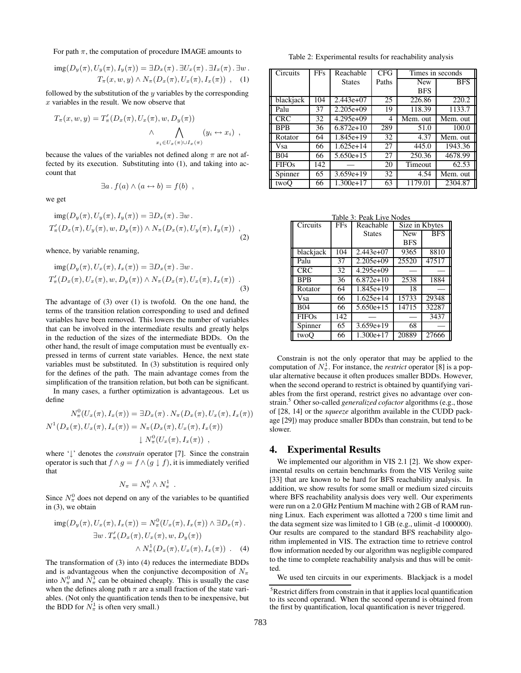For path  $\pi$ , the computation of procedure IMAGE amounts to

$$
\mathrm{img}(D_y(\pi), U_y(\pi), I_y(\pi)) = \exists D_x(\pi) \cdot \exists U_x(\pi) \cdot \exists I_x(\pi) \cdot \exists w.
$$
  

$$
T_{\pi}(x, w, y) \wedge N_{\pi}(D_x(\pi), U_x(\pi), I_x(\pi)) , \quad (1)
$$

followed by the substitution of the  $y$  variables by the corresponding  $x$  variables in the result. We now observe that

$$
T_{\pi}(x, w, y) = T'_{\pi}(D_x(\pi), U_x(\pi), w, D_y(\pi))
$$
  
 
$$
\wedge \bigwedge_{x_i \in U_x(\pi) \cup I_x(\pi)} (y_i \leftrightarrow x_i) ,
$$

because the values of the variables not defined along  $\pi$  are not affected by its execution. Substituting into (1), and taking into account that

$$
\exists a. f(a) \land (a \leftrightarrow b) = f(b) ,
$$

we get

$$
\text{img}(D_y(\pi), U_y(\pi), I_y(\pi)) = \exists D_x(\pi) \cdot \exists w.
$$
  

$$
T'_{\pi}(D_x(\pi), U_y(\pi), w, D_y(\pi)) \wedge N_{\pi}(D_x(\pi), U_y(\pi), I_y(\pi)) ,
$$
  
(2)

whence, by variable renaming,

$$
\text{img}(D_y(\pi), U_x(\pi), I_x(\pi)) = \exists D_x(\pi) \cdot \exists w.
$$
\n
$$
T'_\pi(D_x(\pi), U_x(\pi), w, D_y(\pi)) \wedge N_\pi(D_x(\pi), U_x(\pi), I_x(\pi)) .
$$
\n(3)

The advantage of (3) over (1) is twofold. On the one hand, the terms of the transition relation corresponding to used and defined variables have been removed. This lowers the number of variables that can be involved in the intermediate results and greatly helps in the reduction of the sizes of the intermediate BDDs. On the other hand, the result of image computation must be eventually expressed in terms of current state variables. Hence, the next state variables must be substituted. In (3) substitution is required only for the defines of the path. The main advantage comes from the simplification of the transition relation, but both can be significant.

In many cases, a further optimization is advantageous. Let us define

$$
N_{\pi}^{0}(U_{x}(\pi), I_{x}(\pi)) = \exists D_{x}(\pi) \cdot N_{\pi}(D_{x}(\pi), U_{x}(\pi), I_{x}(\pi))
$$
  

$$
N^{1}(D_{x}(\pi), U_{x}(\pi), I_{x}(\pi)) = N_{\pi}(D_{x}(\pi), U_{x}(\pi), I_{x}(\pi))
$$
  

$$
\downarrow N_{\pi}^{0}(U_{x}(\pi), I_{x}(\pi)),
$$

where '<sup>|</sup>' denotes the *constrain* operator [7]. Since the constrain operator is such that  $f \wedge g = f \wedge (g \downarrow f)$ , it is immediately verified that

$$
N_{\pi}=N_{\pi}^0\wedge N_{\pi}^1\ .
$$

Since  $N_{\pi}^{0}$  does not depend on any of the variables to be quantified in (3), we obtain

$$
\mathrm{img}(D_y(\pi), U_x(\pi), I_x(\pi)) = N_\pi^0(U_x(\pi), I_x(\pi)) \wedge \exists D_x(\pi) .
$$
  

$$
\exists w \, . \, T_\pi'(D_x(\pi), U_x(\pi), w, D_y(\pi))
$$
  

$$
\wedge N_\pi^1(D_x(\pi), U_x(\pi), I_x(\pi)) . \quad (4)
$$

The transformation of (3) into (4) reduces the intermediate BDDs and is advantageous when the conjunctive decomposition of  $N_\pi$ into  $N_{\pi}^{0}$  and  $N_{\pi}^{1}$  can be obtained cheaply. This is usually the case when the defines along path  $\pi$  are a small fraction of the state variables. (Not only the quantification tends then to be inexpensive, but the BDD for  $N_{\pi}^1$  is often very small.)

Table 2: Experimental results for reachability analysis

| Circuits     | <b>FFs</b> | Reachable     | <b>CFG</b> | Times in seconds |            |
|--------------|------------|---------------|------------|------------------|------------|
|              |            | <b>States</b> | Paths      | <b>New</b>       | <b>BFS</b> |
|              |            |               |            | <b>BFS</b>       |            |
| blackjack    | 104        | $2.443e+07$   | 25         | 226.86           | 220.2      |
| Palu         | 37         | $2.205e+09$   | 19         | 118.39           | 1133.7     |
| <b>CRC</b>   | 32         | $4.295e+09$   | 4          | Mem. out         | Mem. out   |
| <b>BPB</b>   | 36         | $6.872e+10$   | 289        | 51.0             | 100.0      |
| Rotator      | 64         | $1.845e+19$   | 32         | 4.37             | Mem. out   |
| Vsa          | 66         | $1.625e+14$   | 27         | 445.0            | 1943.36    |
| <b>B04</b>   | 66         | $5.650e+15$   | 27         | 250.36           | 4678.99    |
| <b>FIFOs</b> | 142        |               | 20         | Timeout          | 62.53      |
| Spinner      | 65         | $3.659e+19$   | 32         | 4.54             | Mem. out   |
| twoO         | 66         | $1.300e+17$   | 63         | 1179.01          | 2304.87    |

Table 3: Peak Live Nodes

| Circuits     | <b>FFs</b> | Reachable     | Size in Kbytes |            |
|--------------|------------|---------------|----------------|------------|
|              |            | <b>States</b> | <b>New</b>     | <b>BFS</b> |
|              |            |               | <b>BFS</b>     |            |
| blackjack    | 104        | $2.443e+07$   | 9365           | 8810       |
| Palu         | 37         | $2.205e+09$   | 25520          | 47517      |
| <b>CRC</b>   | 32         | $4.295e+09$   |                |            |
| <b>BPB</b>   | 36         | $6.872e+10$   | 2538           | 1884       |
| Rotator      | 64         | 1.845e+19     | 18             |            |
| <b>Vsa</b>   | 66         | $1.625e+14$   | 15733          | 29348      |
| <b>B04</b>   | 66         | $5.650e + 15$ | 14715          | 32287      |
| <b>FIFOs</b> | 142        |               |                | 3437       |
| Spinner      | 65         | $3.659e+19$   | 68             |            |
| twoO         | 66         | $1.300e+17$   | 20889          | 27666      |

Constrain is not the only operator that may be applied to the computation of  $N_{\pi}^1$ . For instance, the *restrict* operator [8] is a popular alternative because it often produces smaller BDDs. However, when the second operand to restrict is obtained by quantifying variables from the first operand, restrict gives no advantage over constrain.<sup>5</sup> Other so-called *generalized cofactor* algorithms (e.g., those of [28, 14] or the *squeeze* algorithm available in the CUDD package [29]) may produce smaller BDDs than constrain, but tend to be slower.

## **4. Experimental Results**

We implemented our algorithm in VIS 2.1 [2]. We show experimental results on certain benchmarks from the VIS Verilog suite [33] that are known to be hard for BFS reachability analysis. In addition, we show results for some small or medium sized circuits where BFS reachability analysis does very well. Our experiments were run on a 2.0 GHz Pentium M machine with 2 GB of RAM running Linux. Each experiment was allotted a 7200 s time limit and the data segment size was limited to 1 GB (e.g., ulimit -d 1000000). Our results are compared to the standard BFS reachability algorithm implemented in VIS. The extraction time to retrieve control flow information needed by our algorithm was negligible compared to the time to complete reachability analysis and thus will be omitted.

We used ten circuits in our experiments. Blackjack is a model

<sup>5</sup>Restrict differs from constrain in that it applies local quantification to its second operand. When the second operand is obtained from the first by quantification, local quantification is never triggered.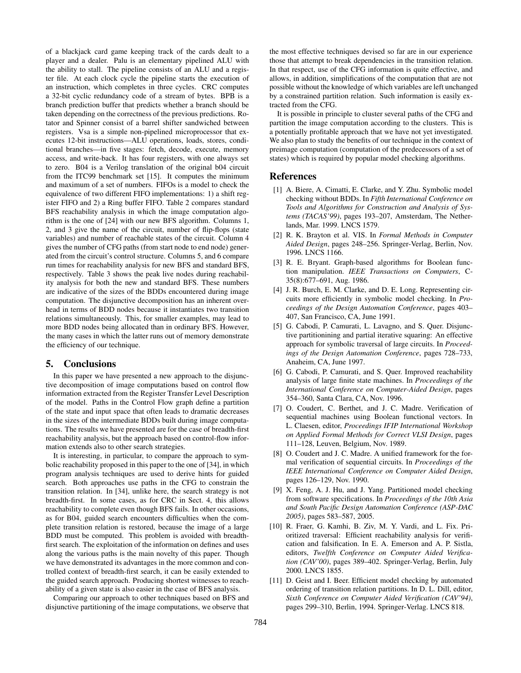of a blackjack card game keeping track of the cards dealt to a player and a dealer. Palu is an elementary pipelined ALU with the ability to stall. The pipeline consists of an ALU and a register file. At each clock cycle the pipeline starts the execution of an instruction, which completes in three cycles. CRC computes a 32-bit cyclic redundancy code of a stream of bytes. BPB is a branch prediction buffer that predicts whether a branch should be taken depending on the correctness of the previous predictions. Rotator and Spinner consist of a barrel shifter sandwiched between registers. Vsa is a simple non-pipelined microprocessor that executes 12-bit instructions—ALU operations, loads, stores, conditional branches—in five stages: fetch, decode, execute, memory access, and write-back. It has four registers, with one always set to zero. B04 is a Verilog translation of the original b04 circuit from the ITC99 benchmark set [15]. It computes the minimum and maximum of a set of numbers. FIFOs is a model to check the equivalence of two different FIFO implementations: 1) a shift register FIFO and 2) a Ring buffer FIFO. Table 2 compares standard BFS reachability analysis in which the image computation algorithm is the one of [24] with our new BFS algorithm. Columns 1, 2, and 3 give the name of the circuit, number of flip-flops (state variables) and number of reachable states of the circuit. Column 4 gives the number of CFG paths (from start node to end node) generated from the circuit's control structure. Columns 5, and 6 compare run times for reachability analysis for new BFS and standard BFS, respectively. Table 3 shows the peak live nodes during reachability analysis for both the new and standard BFS. These numbers are indicative of the sizes of the BDDs encountered during image computation. The disjunctive decomposition has an inherent overhead in terms of BDD nodes because it instantiates two transition relations simultaneously. This, for smaller examples, may lead to more BDD nodes being allocated than in ordinary BFS. However, the many cases in which the latter runs out of memory demonstrate the efficiency of our technique.

## **5. Conclusions**

In this paper we have presented a new approach to the disjunctive decomposition of image computations based on control flow information extracted from the Register Transfer Level Description of the model. Paths in the Control Flow graph define a partition of the state and input space that often leads to dramatic decreases in the sizes of the intermediate BDDs built during image computations. The results we have presented are for the case of breadth-first reachability analysis, but the approach based on control-flow information extends also to other search strategies.

It is interesting, in particular, to compare the approach to symbolic reachability proposed in this paper to the one of [34], in which program analysis techniques are used to derive hints for guided search. Both approaches use paths in the CFG to constrain the transition relation. In [34], unlike here, the search strategy is not breadth-first. In some cases, as for CRC in Sect. 4, this allows reachability to complete even though BFS fails. In other occasions, as for B04, guided search encounters difficulties when the complete transition relation is restored, because the image of a large BDD must be computed. This problem is avoided with breadthfirst search. The exploitation of the information on defines and uses along the various paths is the main novelty of this paper. Though we have demonstrated its advantages in the more common and controlled context of breadth-first search, it can be easily extended to the guided search approach. Producing shortest witnesses to reachability of a given state is also easier in the case of BFS analysis.

Comparing our approach to other techniques based on BFS and disjunctive partitioning of the image computations, we observe that the most effective techniques devised so far are in our experience those that attempt to break dependencies in the transition relation. In that respect, use of the CFG information is quite effective, and allows, in addition, simplifications of the computation that are not possible without the knowledge of which variables are left unchanged by a constrained partition relation. Such information is easily extracted from the CFG.

It is possible in principle to cluster several paths of the CFG and partition the image computation according to the clusters. This is a potentially profitable approach that we have not yet investigated. We also plan to study the benefits of our technique in the context of preimage computation (computation of the predecessors of a set of states) which is required by popular model checking algorithms.

## **References**

- [1] A. Biere, A. Cimatti, E. Clarke, and Y. Zhu. Symbolic model checking without BDDs. In *Fifth International Conference on Tools and Algorithms for Construction and Analysis of Systems (TACAS'99)*, pages 193–207, Amsterdam, The Netherlands, Mar. 1999. LNCS 1579.
- [2] R. K. Brayton et al. VIS. In *Formal Methods in Computer Aided Design*, pages 248–256. Springer-Verlag, Berlin, Nov. 1996. LNCS 1166.
- [3] R. E. Bryant. Graph-based algorithms for Boolean function manipulation. *IEEE Transactions on Computers*, C-35(8):677–691, Aug. 1986.
- [4] J. R. Burch, E. M. Clarke, and D. E. Long. Representing circuits more efficiently in symbolic model checking. In *Proceedings of the Design Automation Conference*, pages 403– 407, San Francisco, CA, June 1991.
- [5] G. Cabodi, P. Camurati, L. Lavagno, and S. Quer. Disjunctive partitionining and partial iterative squaring: An effective approach for symbolic traversal of large circuits. In *Proceedings of the Design Automation Conference*, pages 728–733, Anaheim, CA, June 1997.
- [6] G. Cabodi, P. Camurati, and S. Quer. Improved reachability analysis of large finite state machines. In *Proceedings of the International Conference on Computer-Aided Design*, pages 354–360, Santa Clara, CA, Nov. 1996.
- [7] O. Coudert, C. Berthet, and J. C. Madre. Verification of sequential machines using Boolean functional vectors. In L. Claesen, editor, *Proceedings IFIP International Workshop on Applied Formal Methods for Correct VLSI Design*, pages 111–128, Leuven, Belgium, Nov. 1989.
- [8] O. Coudert and J. C. Madre. A unified framework for the formal verification of sequential circuits. In *Proceedings of the IEEE International Conference on Computer Aided Design*, pages 126–129, Nov. 1990.
- [9] X. Feng, A. J. Hu, and J. Yang. Partitioned model checking from software specifications. In *Proceedings of the 10th Asia and South Pacific Design Automation Conference (ASP-DAC 2005)*, pages 583–587, 2005.
- [10] R. Fraer, G. Kamhi, B. Ziv, M. Y. Vardi, and L. Fix. Prioritized traversal: Efficient reachability analysis for verification and falsification. In E. A. Emerson and A. P. Sistla, editors, *Twelfth Conference on Computer Aided Verification (CAV'00)*, pages 389–402. Springer-Verlag, Berlin, July 2000. LNCS 1855.
- [11] D. Geist and I. Beer. Efficient model checking by automated ordering of transition relation partitions. In D. L. Dill, editor, *Sixth Conference on Computer Aided Verification (CAV'94)*, pages 299–310, Berlin, 1994. Springer-Verlag. LNCS 818.